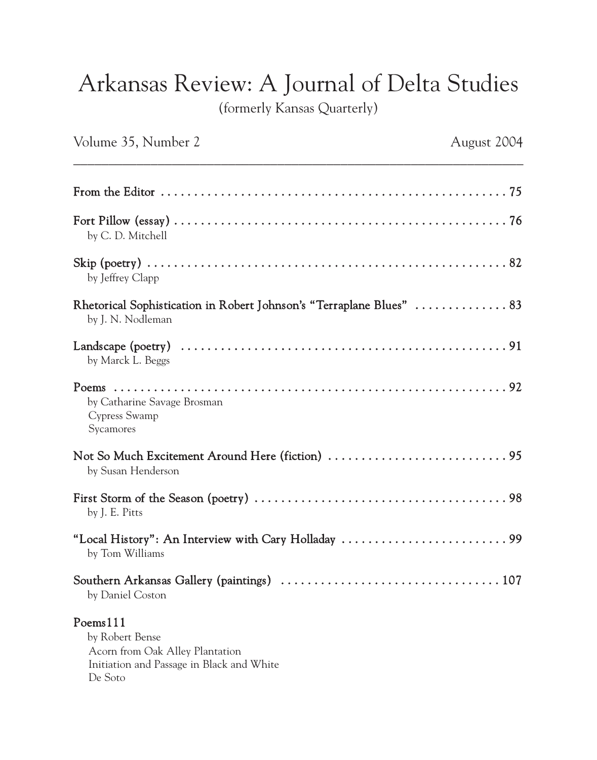## Arkansas Review: A Journal of Delta Studies

(formerly Kansas Quarterly)

| Volume 35, Number 2                                                                                                    | August 2004 |
|------------------------------------------------------------------------------------------------------------------------|-------------|
|                                                                                                                        |             |
| by C. D. Mitchell                                                                                                      |             |
| by Jeffrey Clapp                                                                                                       |             |
| Rhetorical Sophistication in Robert Johnson's "Terraplane Blues"  83<br>by J. N. Nodleman                              |             |
| by Marck L. Beggs                                                                                                      |             |
| by Catharine Savage Brosman<br>Cypress Swamp<br>Sycamores                                                              |             |
| by Susan Henderson                                                                                                     |             |
| by J. E. Pitts                                                                                                         |             |
| by Tom Williams                                                                                                        |             |
| by Daniel Coston                                                                                                       |             |
| Poems111<br>by Robert Bense<br>Acorn from Oak Alley Plantation<br>Initiation and Passage in Black and White<br>De Soto |             |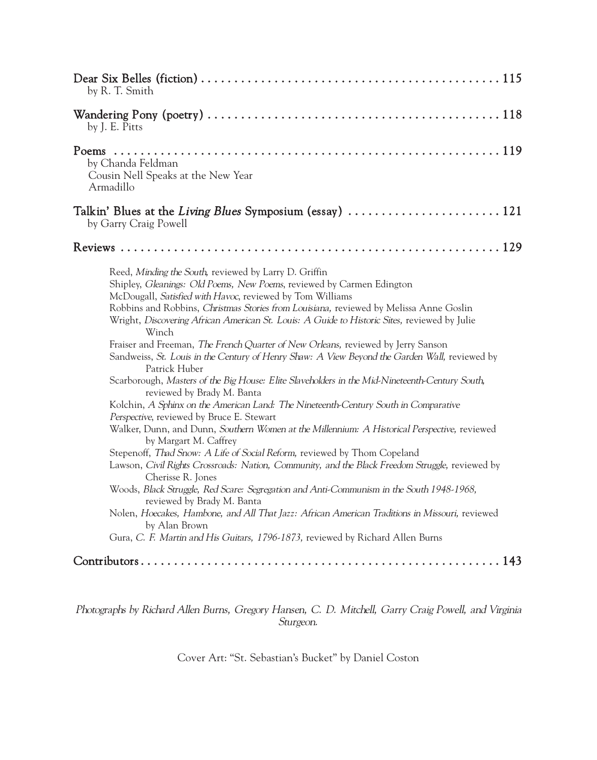| by R. T. Smith                                                                                                                                                                                                                                                                                                                                                                                                                                                                                                                                                                                                                                                                                                                                                                                                                                                                                                                                                                                                                                                                                                                                                                                                                                                                                                                                                                                                                                                                                                                       |
|--------------------------------------------------------------------------------------------------------------------------------------------------------------------------------------------------------------------------------------------------------------------------------------------------------------------------------------------------------------------------------------------------------------------------------------------------------------------------------------------------------------------------------------------------------------------------------------------------------------------------------------------------------------------------------------------------------------------------------------------------------------------------------------------------------------------------------------------------------------------------------------------------------------------------------------------------------------------------------------------------------------------------------------------------------------------------------------------------------------------------------------------------------------------------------------------------------------------------------------------------------------------------------------------------------------------------------------------------------------------------------------------------------------------------------------------------------------------------------------------------------------------------------------|
| Wandering Pony (poetry) $\dots\dots\dots\dots\dots\dots\dots\dots\dots\dots\dots\dots\dots\dots\dots\dots$<br>by J. E. Pitts                                                                                                                                                                                                                                                                                                                                                                                                                                                                                                                                                                                                                                                                                                                                                                                                                                                                                                                                                                                                                                                                                                                                                                                                                                                                                                                                                                                                         |
| by Chanda Feldman<br>Cousin Nell Speaks at the New Year<br>Armadillo                                                                                                                                                                                                                                                                                                                                                                                                                                                                                                                                                                                                                                                                                                                                                                                                                                                                                                                                                                                                                                                                                                                                                                                                                                                                                                                                                                                                                                                                 |
| Talkin' Blues at the Living Blues Symposium (essay)  121<br>by Garry Craig Powell                                                                                                                                                                                                                                                                                                                                                                                                                                                                                                                                                                                                                                                                                                                                                                                                                                                                                                                                                                                                                                                                                                                                                                                                                                                                                                                                                                                                                                                    |
|                                                                                                                                                                                                                                                                                                                                                                                                                                                                                                                                                                                                                                                                                                                                                                                                                                                                                                                                                                                                                                                                                                                                                                                                                                                                                                                                                                                                                                                                                                                                      |
| Reed, Minding the South, reviewed by Larry D. Griffin<br>Shipley, Gleanings: Old Poems, New Poems, reviewed by Carmen Edington<br>McDougall, Satisfied with Havoc, reviewed by Tom Williams<br>Robbins and Robbins, Christmas Stories from Louisiana, reviewed by Melissa Anne Goslin<br>Wright, Discovering African American St. Louis: A Guide to Historic Sites, reviewed by Julie<br>Winch<br>Fraiser and Freeman, The French Quarter of New Orleans, reviewed by Jerry Sanson<br>Sandweiss, St. Louis in the Century of Henry Shaw: A View Beyond the Garden Wall, reviewed by<br>Patrick Huber<br>Scarborough, Masters of the Big House: Elite Slaveholders in the Mid-Nineteenth-Century South,<br>reviewed by Brady M. Banta<br>Kolchin, A Sphinx on the American Land: The Nineteenth-Century South in Comparative<br>Perspective, reviewed by Bruce E. Stewart<br>Walker, Dunn, and Dunn, Southern Women at the Millennium: A Historical Perspective, reviewed<br>by Margart M. Caffrey<br>Stepenoff, Thad Snow: A Life of Social Reform, reviewed by Thom Copeland<br>Lawson, Civil Rights Crossroads: Nation, Community, and the Black Freedom Struggle, reviewed by<br>Cherisse R. Jones<br>Woods, Black Struggle, Red Scare: Segregation and Anti-Communism in the South 1948-1968,<br>reviewed by Brady M. Banta<br>Nolen, Hoecakes, Hambone, and All That Jazz: African American Traditions in Missouri, reviewed<br>by Alan Brown<br>Gura, C. F. Martin and His Guitars, 1796-1873, reviewed by Richard Allen Burns |
|                                                                                                                                                                                                                                                                                                                                                                                                                                                                                                                                                                                                                                                                                                                                                                                                                                                                                                                                                                                                                                                                                                                                                                                                                                                                                                                                                                                                                                                                                                                                      |

Photographs by Richard Allen Burns, Gregory Hansen, C. D. Mitchell, Garry Craig Powell, and Virginia Sturgeon.

Cover Art: "St. Sebastian's Bucket" by Daniel Coston